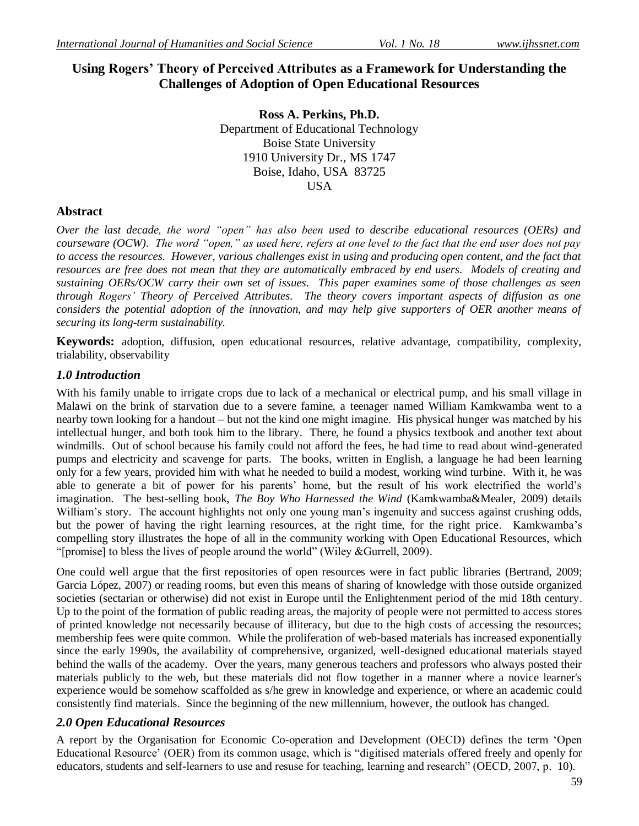# **Using Rogers' Theory of Perceived Attributes as a Framework for Understanding the Challenges of Adoption of Open Educational Resources**

**Ross A. Perkins, Ph.D.** Department of Educational Technology Boise State University 1910 University Dr., MS 1747 Boise, Idaho, USA 83725 **USA** 

### **Abstract**

*Over the last decade, the word "open" has also been used to describe educational resources (OERs) and courseware (OCW). The word "open," as used here, refers at one level to the fact that the end user does not pay*  to access the resources. However, various challenges exist in using and producing open content, and the fact that *resources are free does not mean that they are automatically embraced by end users. Models of creating and sustaining OERs/OCW carry their own set of issues. This paper examines some of those challenges as seen through Rogers' Theory of Perceived Attributes. The theory covers important aspects of diffusion as one considers the potential adoption of the innovation, and may help give supporters of OER another means of securing its long-term sustainability.* 

**Keywords:** adoption, diffusion, open educational resources, relative advantage, compatibility, complexity, trialability, observability

### *1.0 Introduction*

With his family unable to irrigate crops due to lack of a mechanical or electrical pump, and his small village in Malawi on the brink of starvation due to a severe famine, a teenager named William Kamkwamba went to a nearby town looking for a handout – but not the kind one might imagine. His physical hunger was matched by his intellectual hunger, and both took him to the library. There, he found a physics textbook and another text about windmills. Out of school because his family could not afford the fees, he had time to read about wind-generated pumps and electricity and scavenge for parts. The books, written in English, a language he had been learning only for a few years, provided him with what he needed to build a modest, working wind turbine. With it, he was able to generate a bit of power for his parents' home, but the result of his work electrified the world's imagination. The best-selling book, *The Boy Who Harnessed the Wind* (Kamkwamba&Mealer, 2009) details William's story. The account highlights not only one young man's ingenuity and success against crushing odds, but the power of having the right learning resources, at the right time, for the right price. Kamkwamba's compelling story illustrates the hope of all in the community working with Open Educational Resources, which "[promise] to bless the lives of people around the world" (Wiley  $&$  Gurrell, 2009).

One could well argue that the first repositories of open resources were in fact public libraries (Bertrand, 2009; Garcia López, 2007) or reading rooms, but even this means of sharing of knowledge with those outside organized societies (sectarian or otherwise) did not exist in Europe until the Enlightenment period of the mid 18th century. Up to the point of the formation of public reading areas, the majority of people were not permitted to access stores of printed knowledge not necessarily because of illiteracy, but due to the high costs of accessing the resources; membership fees were quite common. While the proliferation of web-based materials has increased exponentially since the early 1990s, the availability of comprehensive, organized, well-designed educational materials stayed behind the walls of the academy. Over the years, many generous teachers and professors who always posted their materials publicly to the web, but these materials did not flow together in a manner where a novice learner's experience would be somehow scaffolded as s/he grew in knowledge and experience, or where an academic could consistently find materials. Since the beginning of the new millennium, however, the outlook has changed.

### *2.0 Open Educational Resources*

A report by the Organisation for Economic Co-operation and Development (OECD) defines the term 'Open Educational Resource' (OER) from its common usage, which is "digitised materials offered freely and openly for educators, students and self-learners to use and resuse for teaching, learning and research" (OECD, 2007, p. 10).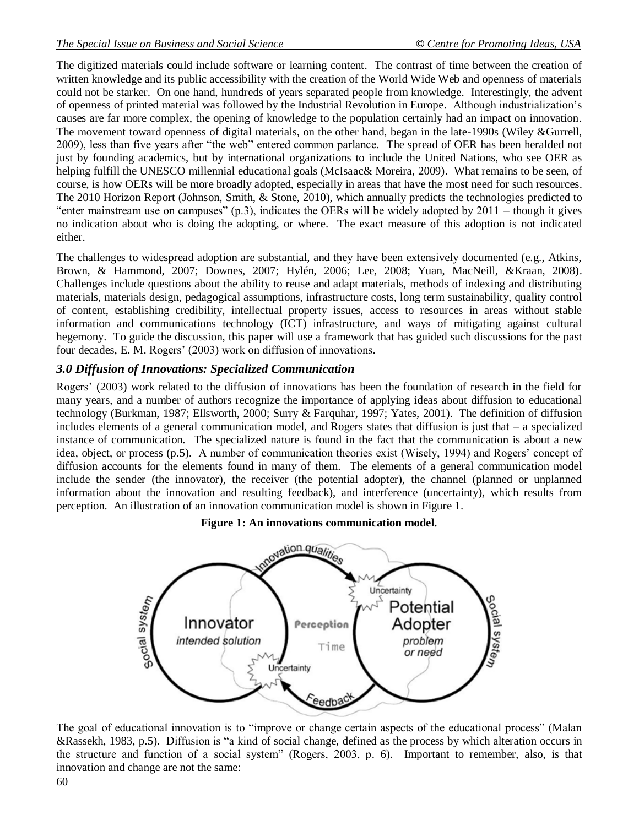The digitized materials could include software or learning content. The contrast of time between the creation of written knowledge and its public accessibility with the creation of the World Wide Web and openness of materials could not be starker. On one hand, hundreds of years separated people from knowledge. Interestingly, the advent of openness of printed material was followed by the Industrial Revolution in Europe. Although industrialization's causes are far more complex, the opening of knowledge to the population certainly had an impact on innovation. The movement toward openness of digital materials, on the other hand, began in the late-1990s (Wiley &Gurrell, 2009), less than five years after "the web" entered common parlance. The spread of OER has been heralded not just by founding academics, but by international organizations to include the United Nations, who see OER as helping fulfill the UNESCO millennial educational goals (McIsaac& Moreira, 2009). What remains to be seen, of course, is how OERs will be more broadly adopted, especially in areas that have the most need for such resources. The 2010 Horizon Report (Johnson, Smith, & Stone, 2010), which annually predicts the technologies predicted to "enter mainstream use on campuses" (p.3), indicates the OERs will be widely adopted by  $2011 -$  though it gives no indication about who is doing the adopting, or where. The exact measure of this adoption is not indicated either.

The challenges to widespread adoption are substantial, and they have been extensively documented (e.g., Atkins, Brown, & Hammond, 2007; Downes, 2007; Hylén, 2006; Lee, 2008; Yuan, MacNeill, &Kraan, 2008). Challenges include questions about the ability to reuse and adapt materials, methods of indexing and distributing materials, materials design, pedagogical assumptions, infrastructure costs, long term sustainability, quality control of content, establishing credibility, intellectual property issues, access to resources in areas without stable information and communications technology (ICT) infrastructure, and ways of mitigating against cultural hegemony. To guide the discussion, this paper will use a framework that has guided such discussions for the past four decades, E. M. Rogers' (2003) work on diffusion of innovations.

### *3.0 Diffusion of Innovations: Specialized Communication*

Rogers' (2003) work related to the diffusion of innovations has been the foundation of research in the field for many years, and a number of authors recognize the importance of applying ideas about diffusion to educational technology (Burkman, 1987; Ellsworth, 2000; Surry & Farquhar, 1997; Yates, 2001). The definition of diffusion includes elements of a general communication model, and Rogers states that diffusion is just that – a specialized instance of communication. The specialized nature is found in the fact that the communication is about a new idea, object, or process (p.5). A number of communication theories exist (Wisely, 1994) and Rogers' concept of diffusion accounts for the elements found in many of them. The elements of a general communication model include the sender (the innovator), the receiver (the potential adopter), the channel (planned or unplanned information about the innovation and resulting feedback), and interference (uncertainty), which results from perception. An illustration of an innovation communication model is shown in Figure 1.

#### **Figure 1: An innovations communication model.**



The goal of educational innovation is to "improve or change certain aspects of the educational process" (Malan &Rassekh, 1983, p.5). Diffusion is "a kind of social change, defined as the process by which alteration occurs in the structure and function of a social system" (Rogers, 2003, p. 6). Important to remember, also, is that innovation and change are not the same: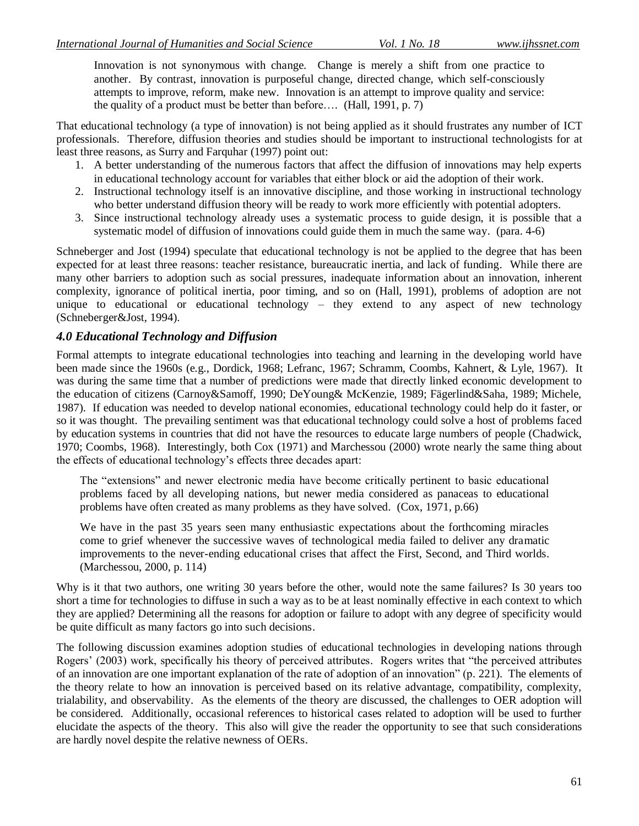Innovation is not synonymous with change. Change is merely a shift from one practice to another. By contrast, innovation is purposeful change, directed change, which self-consciously attempts to improve, reform, make new. Innovation is an attempt to improve quality and service: the quality of a product must be better than before…. (Hall, 1991, p. 7)

That educational technology (a type of innovation) is not being applied as it should frustrates any number of ICT professionals. Therefore, diffusion theories and studies should be important to instructional technologists for at least three reasons, as Surry and Farquhar (1997) point out:

- 1. A better understanding of the numerous factors that affect the diffusion of innovations may help experts in educational technology account for variables that either block or aid the adoption of their work.
- 2. Instructional technology itself is an innovative discipline, and those working in instructional technology who better understand diffusion theory will be ready to work more efficiently with potential adopters.
- 3. Since instructional technology already uses a systematic process to guide design, it is possible that a systematic model of diffusion of innovations could guide them in much the same way. (para. 4-6)

Schneberger and Jost (1994) speculate that educational technology is not be applied to the degree that has been expected for at least three reasons: teacher resistance, bureaucratic inertia, and lack of funding. While there are many other barriers to adoption such as social pressures, inadequate information about an innovation, inherent complexity, ignorance of political inertia, poor timing, and so on (Hall, 1991), problems of adoption are not unique to educational or educational technology – they extend to any aspect of new technology (Schneberger&Jost, 1994).

## *4.0 Educational Technology and Diffusion*

Formal attempts to integrate educational technologies into teaching and learning in the developing world have been made since the 1960s (e.g., Dordick, 1968; Lefranc, 1967; Schramm, Coombs, Kahnert, & Lyle, 1967). It was during the same time that a number of predictions were made that directly linked economic development to the education of citizens (Carnoy&Samoff, 1990; DeYoung& McKenzie, 1989; Fägerlind&Saha, 1989; Michele, 1987). If education was needed to develop national economies, educational technology could help do it faster, or so it was thought. The prevailing sentiment was that educational technology could solve a host of problems faced by education systems in countries that did not have the resources to educate large numbers of people (Chadwick, 1970; Coombs, 1968). Interestingly, both Cox (1971) and Marchessou (2000) wrote nearly the same thing about the effects of educational technology's effects three decades apart:

The "extensions" and newer electronic media have become critically pertinent to basic educational problems faced by all developing nations, but newer media considered as panaceas to educational problems have often created as many problems as they have solved. (Cox, 1971, p.66)

We have in the past 35 years seen many enthusiastic expectations about the forthcoming miracles come to grief whenever the successive waves of technological media failed to deliver any dramatic improvements to the never-ending educational crises that affect the First, Second, and Third worlds. (Marchessou, 2000, p. 114)

Why is it that two authors, one writing 30 years before the other, would note the same failures? Is 30 years too short a time for technologies to diffuse in such a way as to be at least nominally effective in each context to which they are applied? Determining all the reasons for adoption or failure to adopt with any degree of specificity would be quite difficult as many factors go into such decisions.

The following discussion examines adoption studies of educational technologies in developing nations through Rogers' (2003) work, specifically his theory of perceived attributes. Rogers writes that "the perceived attributes" of an innovation are one important explanation of the rate of adoption of an innovation" (p. 221). The elements of the theory relate to how an innovation is perceived based on its relative advantage, compatibility, complexity, trialability, and observability. As the elements of the theory are discussed, the challenges to OER adoption will be considered. Additionally, occasional references to historical cases related to adoption will be used to further elucidate the aspects of the theory. This also will give the reader the opportunity to see that such considerations are hardly novel despite the relative newness of OERs.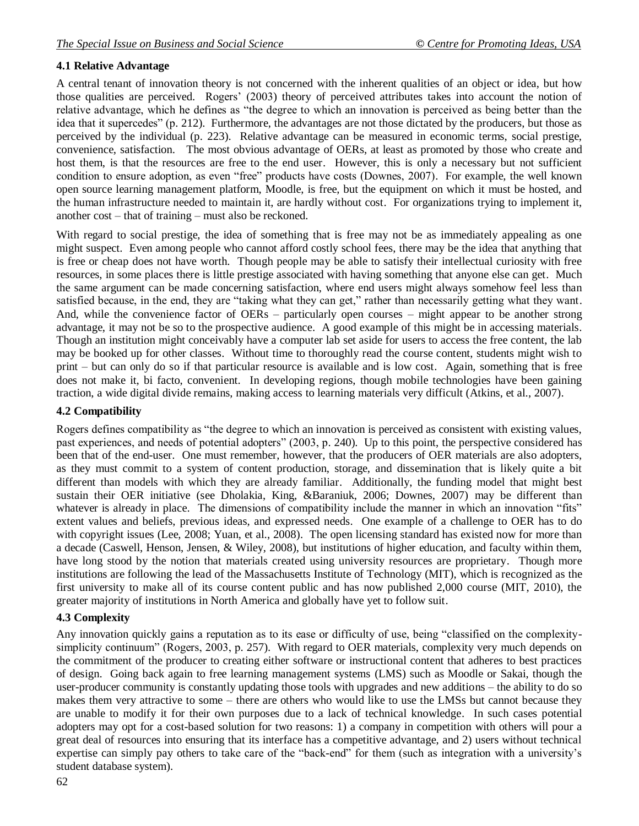### **4.1 Relative Advantage**

A central tenant of innovation theory is not concerned with the inherent qualities of an object or idea, but how those qualities are perceived. Rogers' (2003) theory of perceived attributes takes into account the notion of relative advantage, which he defines as "the degree to which an innovation is perceived as being better than the idea that it supercedes" (p. 212). Furthermore, the advantages are not those dictated by the producers, but those as perceived by the individual (p. 223). Relative advantage can be measured in economic terms, social prestige, convenience, satisfaction. The most obvious advantage of OERs, at least as promoted by those who create and host them, is that the resources are free to the end user. However, this is only a necessary but not sufficient condition to ensure adoption, as even "free" products have costs (Downes, 2007). For example, the well known open source learning management platform, Moodle, is free, but the equipment on which it must be hosted, and the human infrastructure needed to maintain it, are hardly without cost. For organizations trying to implement it, another cost – that of training – must also be reckoned.

With regard to social prestige, the idea of something that is free may not be as immediately appealing as one might suspect. Even among people who cannot afford costly school fees, there may be the idea that anything that is free or cheap does not have worth. Though people may be able to satisfy their intellectual curiosity with free resources, in some places there is little prestige associated with having something that anyone else can get. Much the same argument can be made concerning satisfaction, where end users might always somehow feel less than satisfied because, in the end, they are "taking what they can get," rather than necessarily getting what they want. And, while the convenience factor of OERs – particularly open courses – might appear to be another strong advantage, it may not be so to the prospective audience. A good example of this might be in accessing materials. Though an institution might conceivably have a computer lab set aside for users to access the free content, the lab may be booked up for other classes. Without time to thoroughly read the course content, students might wish to print – but can only do so if that particular resource is available and is low cost. Again, something that is free does not make it, bi facto, convenient. In developing regions, though mobile technologies have been gaining traction, a wide digital divide remains, making access to learning materials very difficult (Atkins, et al., 2007).

#### **4.2 Compatibility**

Rogers defines compatibility as "the degree to which an innovation is perceived as consistent with existing values, past experiences, and needs of potential adopters" (2003, p. 240). Up to this point, the perspective considered has been that of the end-user. One must remember, however, that the producers of OER materials are also adopters, as they must commit to a system of content production, storage, and dissemination that is likely quite a bit different than models with which they are already familiar. Additionally, the funding model that might best sustain their OER initiative (see Dholakia, King, &Baraniuk, 2006; Downes, 2007) may be different than whatever is already in place. The dimensions of compatibility include the manner in which an innovation "fits" extent values and beliefs, previous ideas, and expressed needs. One example of a challenge to OER has to do with copyright issues (Lee, 2008; Yuan, et al., 2008). The open licensing standard has existed now for more than a decade (Caswell, Henson, Jensen, & Wiley, 2008), but institutions of higher education, and faculty within them, have long stood by the notion that materials created using university resources are proprietary. Though more institutions are following the lead of the Massachusetts Institute of Technology (MIT), which is recognized as the first university to make all of its course content public and has now published 2,000 course (MIT, 2010), the greater majority of institutions in North America and globally have yet to follow suit.

#### **4.3 Complexity**

Any innovation quickly gains a reputation as to its ease or difficulty of use, being "classified on the complexitysimplicity continuum" (Rogers, 2003, p. 257). With regard to OER materials, complexity very much depends on the commitment of the producer to creating either software or instructional content that adheres to best practices of design. Going back again to free learning management systems (LMS) such as Moodle or Sakai, though the user-producer community is constantly updating those tools with upgrades and new additions – the ability to do so makes them very attractive to some – there are others who would like to use the LMSs but cannot because they are unable to modify it for their own purposes due to a lack of technical knowledge. In such cases potential adopters may opt for a cost-based solution for two reasons: 1) a company in competition with others will pour a great deal of resources into ensuring that its interface has a competitive advantage, and 2) users without technical expertise can simply pay others to take care of the "back-end" for them (such as integration with a university's student database system).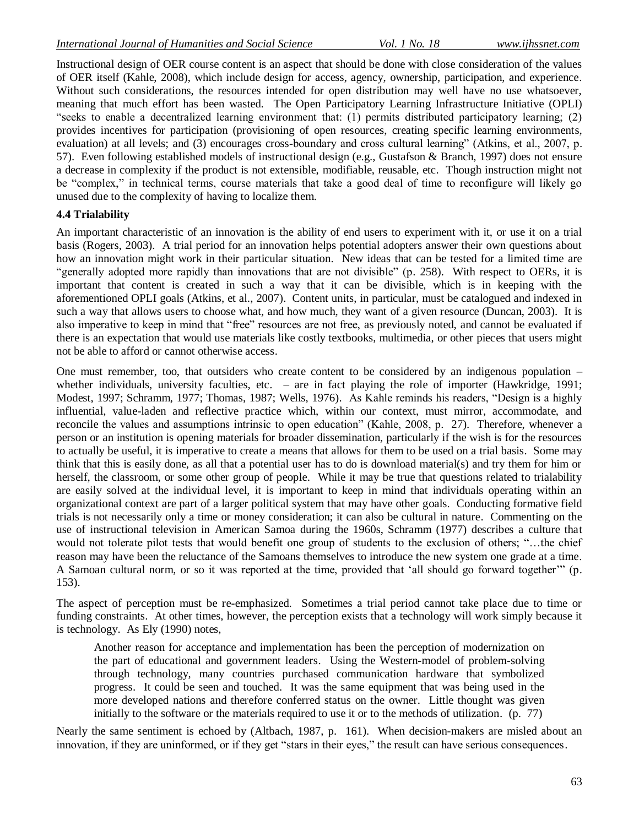Instructional design of OER course content is an aspect that should be done with close consideration of the values of OER itself (Kahle, 2008), which include design for access, agency, ownership, participation, and experience. Without such considerations, the resources intended for open distribution may well have no use whatsoever, meaning that much effort has been wasted. The Open Participatory Learning Infrastructure Initiative (OPLI) "seeks to enable a decentralized learning environment that:  $(1)$  permits distributed participatory learning;  $(2)$ provides incentives for participation (provisioning of open resources, creating specific learning environments, evaluation) at all levels; and (3) encourages cross-boundary and cross cultural learning" (Atkins, et al., 2007, p. 57). Even following established models of instructional design (e.g., Gustafson & Branch, 1997) does not ensure a decrease in complexity if the product is not extensible, modifiable, reusable, etc. Though instruction might not be "complex," in technical terms, course materials that take a good deal of time to reconfigure will likely go unused due to the complexity of having to localize them.

#### **4.4 Trialability**

An important characteristic of an innovation is the ability of end users to experiment with it, or use it on a trial basis (Rogers, 2003). A trial period for an innovation helps potential adopters answer their own questions about how an innovation might work in their particular situation. New ideas that can be tested for a limited time are "generally adopted more rapidly than innovations that are not divisible" (p. 258). With respect to OERs, it is important that content is created in such a way that it can be divisible, which is in keeping with the aforementioned OPLI goals (Atkins, et al., 2007). Content units, in particular, must be catalogued and indexed in such a way that allows users to choose what, and how much, they want of a given resource (Duncan, 2003). It is also imperative to keep in mind that "free" resources are not free, as previously noted, and cannot be evaluated if there is an expectation that would use materials like costly textbooks, multimedia, or other pieces that users might not be able to afford or cannot otherwise access.

One must remember, too, that outsiders who create content to be considered by an indigenous population – whether individuals, university faculties, etc. – are in fact playing the role of importer (Hawkridge, 1991; Modest, 1997; Schramm, 1977; Thomas, 1987; Wells, 1976). As Kahle reminds his readers, "Design is a highly influential, value-laden and reflective practice which, within our context, must mirror, accommodate, and reconcile the values and assumptions intrinsic to open education" (Kahle, 2008, p. 27). Therefore, whenever a person or an institution is opening materials for broader dissemination, particularly if the wish is for the resources to actually be useful, it is imperative to create a means that allows for them to be used on a trial basis. Some may think that this is easily done, as all that a potential user has to do is download material(s) and try them for him or herself, the classroom, or some other group of people. While it may be true that questions related to trialability are easily solved at the individual level, it is important to keep in mind that individuals operating within an organizational context are part of a larger political system that may have other goals. Conducting formative field trials is not necessarily only a time or money consideration; it can also be cultural in nature. Commenting on the use of instructional television in American Samoa during the 1960s, Schramm (1977) describes a culture that would not tolerate pilot tests that would benefit one group of students to the exclusion of others; "...the chief reason may have been the reluctance of the Samoans themselves to introduce the new system one grade at a time. A Samoan cultural norm, or so it was reported at the time, provided that 'all should go forward together'" (p. 153).

The aspect of perception must be re-emphasized. Sometimes a trial period cannot take place due to time or funding constraints. At other times, however, the perception exists that a technology will work simply because it is technology. As Ely (1990) notes,

Another reason for acceptance and implementation has been the perception of modernization on the part of educational and government leaders. Using the Western-model of problem-solving through technology, many countries purchased communication hardware that symbolized progress. It could be seen and touched. It was the same equipment that was being used in the more developed nations and therefore conferred status on the owner. Little thought was given initially to the software or the materials required to use it or to the methods of utilization. (p. 77)

Nearly the same sentiment is echoed by (Altbach, 1987, p. 161). When decision-makers are misled about an innovation, if they are uninformed, or if they get "stars in their eyes," the result can have serious consequences.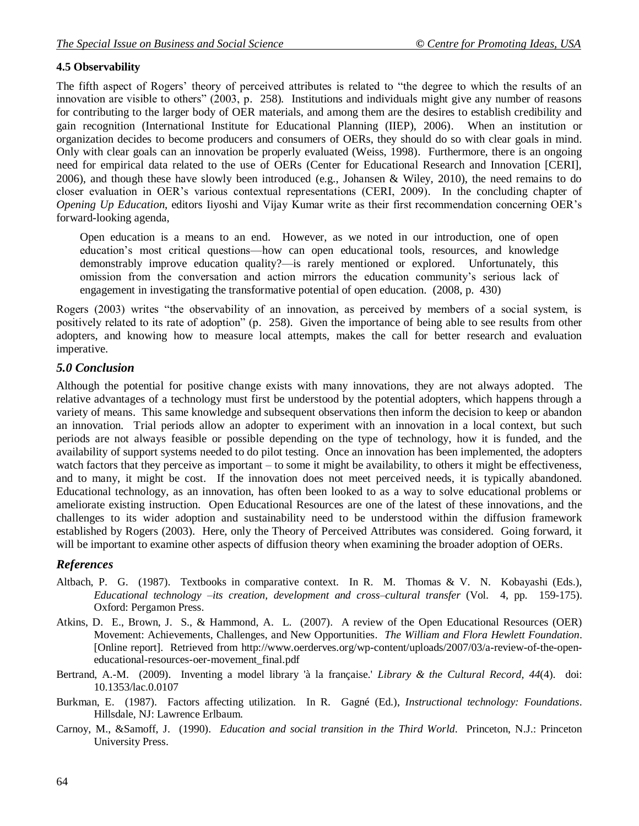#### **4.5 Observability**

The fifth aspect of Rogers' theory of perceived attributes is related to "the degree to which the results of an innovation are visible to others" (2003, p. 258). Institutions and individuals might give any number of reasons for contributing to the larger body of OER materials, and among them are the desires to establish credibility and gain recognition (International Institute for Educational Planning (IIEP), 2006). When an institution or organization decides to become producers and consumers of OERs, they should do so with clear goals in mind. Only with clear goals can an innovation be properly evaluated (Weiss, 1998). Furthermore, there is an ongoing need for empirical data related to the use of OERs (Center for Educational Research and Innovation [CERI], 2006), and though these have slowly been introduced (e.g., Johansen & Wiley, 2010), the need remains to do closer evaluation in OER's various contextual representations (CERI, 2009). In the concluding chapter of *Opening Up Education*, editors Iiyoshi and Vijay Kumar write as their first recommendation concerning OER's forward-looking agenda,

Open education is a means to an end. However, as we noted in our introduction, one of open education's most critical questions—how can open educational tools, resources, and knowledge demonstrably improve education quality?—is rarely mentioned or explored. Unfortunately, this omission from the conversation and action mirrors the education community's serious lack of engagement in investigating the transformative potential of open education. (2008, p. 430)

Rogers (2003) writes "the observability of an innovation, as perceived by members of a social system, is positively related to its rate of adoption" (p. 258). Given the importance of being able to see results from other adopters, and knowing how to measure local attempts, makes the call for better research and evaluation imperative.

### *5.0 Conclusion*

Although the potential for positive change exists with many innovations, they are not always adopted. The relative advantages of a technology must first be understood by the potential adopters, which happens through a variety of means. This same knowledge and subsequent observations then inform the decision to keep or abandon an innovation. Trial periods allow an adopter to experiment with an innovation in a local context, but such periods are not always feasible or possible depending on the type of technology, how it is funded, and the availability of support systems needed to do pilot testing. Once an innovation has been implemented, the adopters watch factors that they perceive as important – to some it might be availability, to others it might be effectiveness, and to many, it might be cost. If the innovation does not meet perceived needs, it is typically abandoned. Educational technology, as an innovation, has often been looked to as a way to solve educational problems or ameliorate existing instruction. Open Educational Resources are one of the latest of these innovations, and the challenges to its wider adoption and sustainability need to be understood within the diffusion framework established by Rogers (2003). Here, only the Theory of Perceived Attributes was considered. Going forward, it will be important to examine other aspects of diffusion theory when examining the broader adoption of OERs.

### *References*

- Altbach, P. G. (1987). Textbooks in comparative context. In R. M. Thomas & V. N. Kobayashi (Eds.), *Educational technology* –*its creation, development and cross*–*cultural transfer* (Vol. 4, pp. 159-175). Oxford: Pergamon Press.
- Atkins, D. E., Brown, J. S., & Hammond, A. L. (2007). A review of the Open Educational Resources (OER) Movement: Achievements, Challenges, and New Opportunities. *The William and Flora Hewlett Foundation*. [Online report]. Retrieved from http://www.oerderves.org/wp-content/uploads/2007/03/a-review-of-the-openeducational-resources-oer-movement\_final.pdf
- Bertrand, A.-M. (2009). Inventing a model library 'à la française.' *Library & the Cultural Record, 44*(4). doi: 10.1353/lac.0.0107
- Burkman, E. (1987). Factors affecting utilization. In R. Gagné (Ed.), *Instructional technology: Foundations*. Hillsdale, NJ: Lawrence Erlbaum.
- Carnoy, M., &Samoff, J. (1990). *Education and social transition in the Third World*. Princeton, N.J.: Princeton University Press.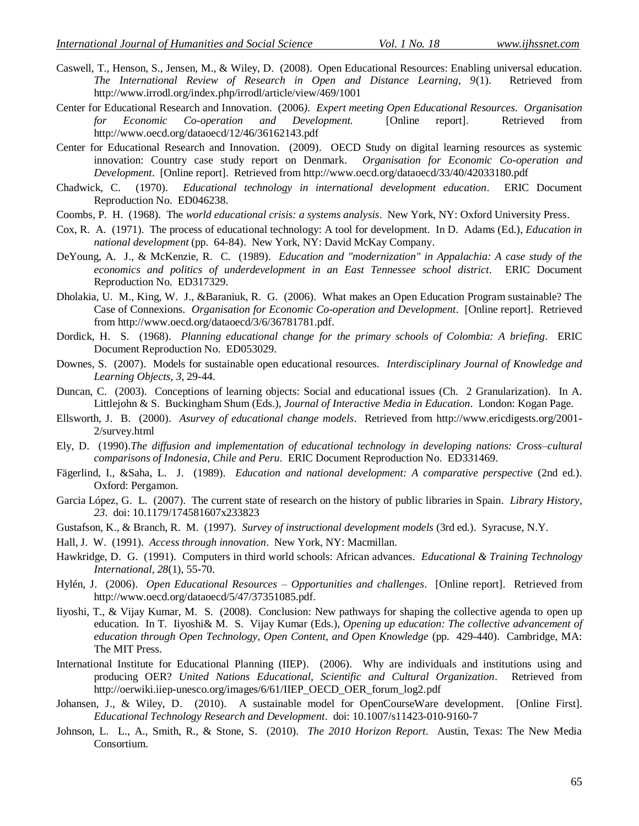- Caswell, T., Henson, S., Jensen, M., & Wiley, D. (2008). Open Educational Resources: Enabling universal education. *The International Review of Research in Open and Distance Learning, 9*(1). Retrieved from http://www.irrodl.org/index.php/irrodl/article/view/469/1001
- Center for Educational Research and Innovation. (2006*). Expert meeting Open Educational Resources. Organisation for Economic Co*-*operation and Development*. [Online report]. Retrieved from http://www.oecd.org/dataoecd/12/46/36162143.pdf
- Center for Educational Research and Innovation. (2009). OECD Study on digital learning resources as systemic innovation: Country case study report on Denmark. *Organisation for Economic Co*-*operation and Development*. [Online report]. Retrieved from http://www.oecd.org/dataoecd/33/40/42033180.pdf
- Chadwick, C. (1970). *Educational technology in international development education*. ERIC Document Reproduction No. ED046238.
- Coombs, P. H. (1968). The *world educational crisis: a systems analysis*. New York, NY: Oxford University Press.
- Cox, R. A. (1971). The process of educational technology: A tool for development. In D. Adams (Ed.), *Education in national development* (pp. 64-84). New York, NY: David McKay Company.
- DeYoung, A. J., & McKenzie, R. C. (1989). *Education and "modernization" in Appalachia: A case study of the economics and politics of underdevelopment in an East Tennessee school district*. ERIC Document Reproduction No. ED317329.
- Dholakia, U. M., King, W. J., &Baraniuk, R. G. (2006). What makes an Open Education Program sustainable? The Case of Connexions. *Organisation for Economic Co-operation and Development*. [Online report]. Retrieved from http://www.oecd.org/dataoecd/3/6/36781781.pdf.
- Dordick, H. S. (1968). *Planning educational change for the primary schools of Colombia: A briefing*. ERIC Document Reproduction No. ED053029.
- Downes, S. (2007). Models for sustainable open educational resources*. Interdisciplinary Journal of Knowledge and Learning Objects, 3*, 29-44.
- Duncan, C. (2003). Conceptions of learning objects: Social and educational issues (Ch. 2 Granularization). In A. Littlejohn & S. Buckingham Shum (Eds.), *Journal of Interactive Media in Education*. London: Kogan Page.
- Ellsworth, J. B. (2000). *Asurvey of educational change models*. Retrieved from http://www.ericdigests.org/2001- 2/survey.html
- Ely, D. (1990).*The diffusion and implementation of educational technology in developing nations: Cross*–*cultural comparisons of Indonesia, Chile and Peru*. ERIC Document Reproduction No. ED331469.
- Fägerlind, I., &Saha, L. J. (1989). *Education and national development: A comparative perspective* (2nd ed.). Oxford: Pergamon.
- Garcia López, G. L. (2007). The current state of research on the history of public libraries in Spain. *Library History, 23*. doi: 10.1179/174581607x233823
- Gustafson, K., & Branch, R. M. (1997). *Survey of instructional development models* (3rd ed.). Syracuse, N.Y.
- Hall, J. W. (1991). *Access through innovation*. New York, NY: Macmillan.
- Hawkridge, D. G. (1991). Computers in third world schools: African advances. *Educational & Training Technology International, 28*(1), 55-70.
- Hylén, J. (2006). *Open Educational Resources Opportunities and challenges*. [Online report]. Retrieved from http://www.oecd.org/dataoecd/5/47/37351085.pdf.
- Iiyoshi, T., & Vijay Kumar, M. S. (2008). Conclusion: New pathways for shaping the collective agenda to open up education. In T. Iiyoshi& M. S. Vijay Kumar (Eds.), *Opening up education: The collective advancement of education through Open Technology, Open Content, and Open Knowledge* (pp. 429-440). Cambridge, MA: The MIT Press.
- International Institute for Educational Planning (IIEP). (2006). Why are individuals and institutions using and producing OER? *United Nations Educational, Scientific and Cultural Organization*. Retrieved from http://oerwiki.iiep-unesco.org/images/6/61/IIEP\_OECD\_OER\_forum\_log2.pdf
- Johansen, J., & Wiley, D. (2010). A sustainable model for OpenCourseWare development. [Online First]. *Educational Technology Research and Development*. doi: 10.1007/s11423-010-9160-7
- Johnson, L. L., A., Smith, R., & Stone, S. (2010). *The 2010 Horizon Report*. Austin, Texas: The New Media Consortium.